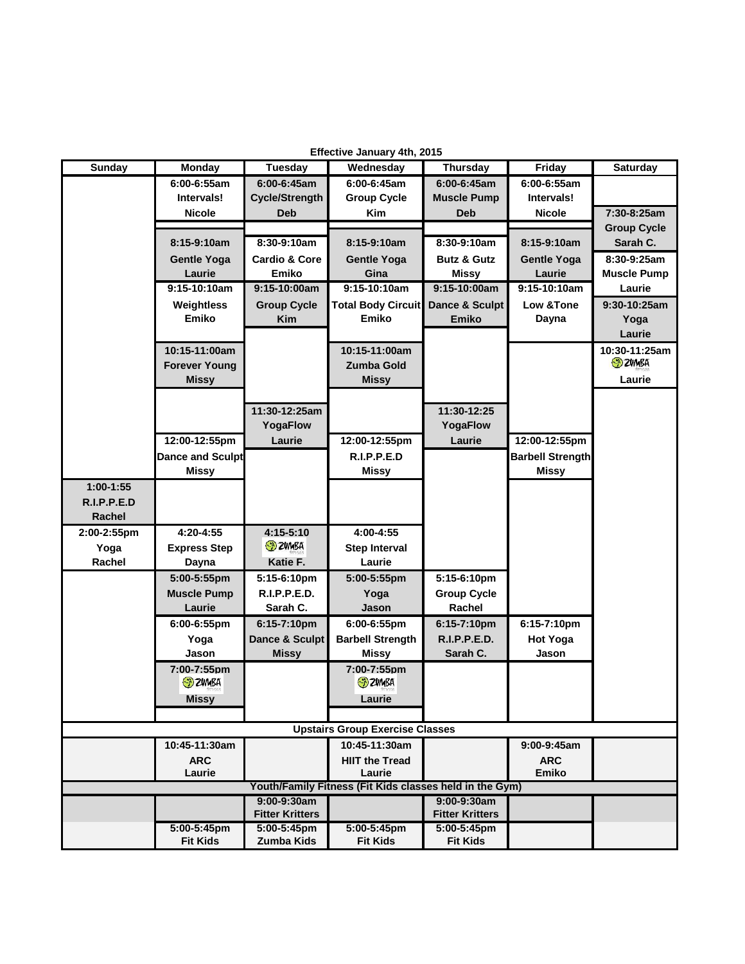| Effective January 4th, 2015                             |                         |                                       |                           |                                       |                         |                    |
|---------------------------------------------------------|-------------------------|---------------------------------------|---------------------------|---------------------------------------|-------------------------|--------------------|
| <b>Sunday</b>                                           | <b>Monday</b>           | Tuesday                               | Wednesday                 | <b>Thursday</b>                       | Friday                  | Saturday           |
|                                                         | $6:00 - 6:55$ am        | 6:00-6:45am                           | 6:00-6:45am               | 6:00-6:45am                           | 6:00-6:55am             |                    |
|                                                         | Intervals!              | <b>Cycle/Strength</b>                 | <b>Group Cycle</b>        | <b>Muscle Pump</b>                    | Intervals!              |                    |
|                                                         | <b>Nicole</b>           | <b>Deb</b>                            | <b>Kim</b>                | <b>Deb</b>                            | <b>Nicole</b>           | 7:30-8:25am        |
|                                                         |                         |                                       |                           |                                       |                         | <b>Group Cycle</b> |
|                                                         | 8:15-9:10am             | 8:30-9:10am                           | 8:15-9:10am               | 8:30-9:10am                           | 8:15-9:10am             | Sarah C.           |
|                                                         | <b>Gentle Yoga</b>      | <b>Cardio &amp; Core</b>              | Gentle Yoga               | <b>Butz &amp; Gutz</b>                | <b>Gentle Yoga</b>      | $8:30-9:25am$      |
|                                                         | Laurie                  | Emiko                                 | Gina                      | <b>Missy</b>                          | Laurie                  | <b>Muscle Pump</b> |
|                                                         | $9:15-10:10am$          | 9:15-10:00am                          | 9:15-10:10am              | 9:15-10:00am                          | 9:15-10:10am            | Laurie             |
|                                                         | Weightless              | <b>Group Cycle</b>                    | <b>Total Body Circuit</b> | Dance & Sculpt                        | Low & Tone              | 9:30-10:25am       |
|                                                         | Emiko                   | <b>Kim</b>                            | Emiko                     | <b>Emiko</b>                          | Dayna                   | Yoga               |
|                                                         |                         |                                       |                           |                                       |                         | Laurie             |
|                                                         | 10:15-11:00am           |                                       | 10:15-11:00am             |                                       |                         | 10:30-11:25am      |
|                                                         | <b>Forever Young</b>    |                                       | Zumba Gold                |                                       |                         | <b>ED ZUMBA</b>    |
|                                                         | <b>Missy</b>            |                                       | <b>Missy</b>              |                                       |                         | Laurie             |
|                                                         |                         |                                       |                           |                                       |                         |                    |
|                                                         |                         | 11:30-12:25am                         |                           | 11:30-12:25                           |                         |                    |
|                                                         |                         | YogaFlow                              |                           | YogaFlow                              |                         |                    |
|                                                         | 12:00-12:55pm           | Laurie                                | 12:00-12:55pm             | Laurie                                | 12:00-12:55pm           |                    |
|                                                         | <b>Dance and Sculpt</b> |                                       | R.I.P.P.E.D               |                                       | <b>Barbell Strength</b> |                    |
|                                                         | <b>Missy</b>            |                                       | <b>Missy</b>              |                                       | <b>Missy</b>            |                    |
| $1:00-1:55$                                             |                         |                                       |                           |                                       |                         |                    |
| R.I.P.P.E.D                                             |                         |                                       |                           |                                       |                         |                    |
| Rachel                                                  |                         |                                       |                           |                                       |                         |                    |
| 2:00-2:55pm                                             | 4:20-4:55               | $4:15-5:10$                           | 4:00-4:55                 |                                       |                         |                    |
| Yoga                                                    | <b>Express Step</b>     | <b>ED ZUMBA</b>                       | <b>Step Interval</b>      |                                       |                         |                    |
| Rachel                                                  | Dayna                   | Katie F.                              | Laurie                    |                                       |                         |                    |
|                                                         | 5:00-5:55pm             | 5:15-6:10pm                           | 5:00-5:55pm               | 5:15-6:10pm                           |                         |                    |
|                                                         | <b>Muscle Pump</b>      | R.I.P.P.E.D.                          | Yoga                      | <b>Group Cycle</b>                    |                         |                    |
|                                                         | Laurie                  | Sarah C.                              | Jason                     | Rachel                                |                         |                    |
|                                                         | 6:00-6:55pm             | 6:15-7:10pm                           | 6:00-6:55pm               | 6:15-7:10pm                           | 6:15-7:10pm             |                    |
|                                                         | Yoga                    | Dance & Sculpt                        | <b>Barbell Strength</b>   | <b>R.I.P.P.E.D.</b>                   | <b>Hot Yoga</b>         |                    |
|                                                         | Jason                   | <b>Missy</b>                          | Missy                     | Sarah C.                              | Jason                   |                    |
|                                                         | 7:00-7:55pm             |                                       | 7:00-7:55pm               |                                       |                         |                    |
|                                                         | <b>ED</b> ZUMBA         |                                       | <b>ED</b> ZUMBA           |                                       |                         |                    |
|                                                         | <b>Missy</b>            |                                       | Laurie                    |                                       |                         |                    |
|                                                         |                         |                                       |                           |                                       |                         |                    |
| <b>Upstairs Group Exercise Classes</b>                  |                         |                                       |                           |                                       |                         |                    |
|                                                         | 10:45-11:30am           |                                       | 10:45-11:30am             |                                       | 9:00-9:45am             |                    |
|                                                         | <b>ARC</b>              |                                       | <b>HIIT the Tread</b>     |                                       | <b>ARC</b>              |                    |
|                                                         | Laurie                  |                                       | Laurie                    |                                       | <b>Emiko</b>            |                    |
| Youth/Family Fitness (Fit Kids classes held in the Gym) |                         |                                       |                           |                                       |                         |                    |
|                                                         |                         | 9:00-9:30am<br><b>Fitter Kritters</b> |                           | 9:00-9:30am<br><b>Fitter Kritters</b> |                         |                    |
|                                                         | $5:00-5:45$ pm          | 5:00-5:45pm                           | $5:00-5:45$ pm            | $5:00-5:45$ pm                        |                         |                    |
|                                                         | <b>Fit Kids</b>         | Zumba Kids                            | <b>Fit Kids</b>           | <b>Fit Kids</b>                       |                         |                    |